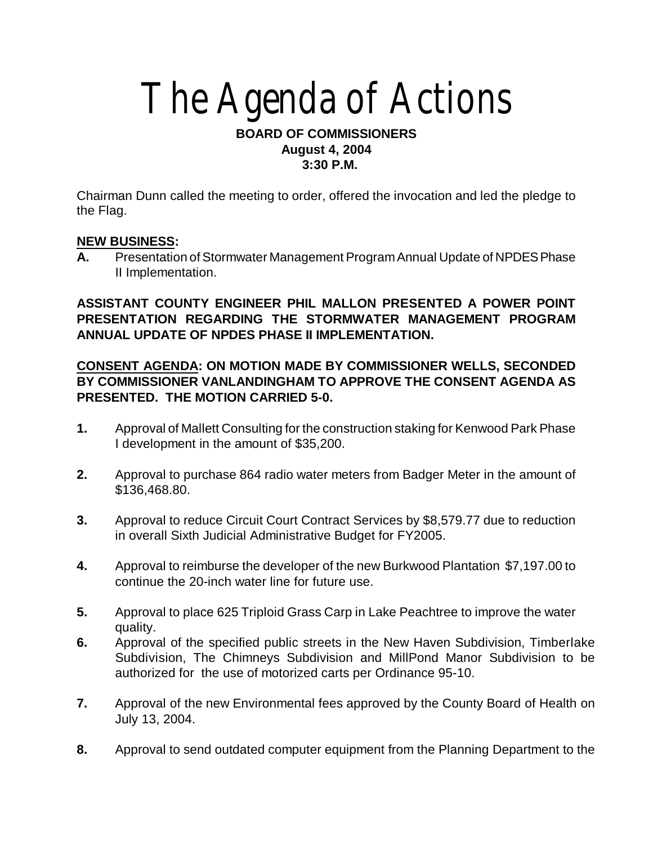# The Agenda of Actions

#### **BOARD OF COMMISSIONERS August 4, 2004 3:30 P.M.**

Chairman Dunn called the meeting to order, offered the invocation and led the pledge to the Flag.

#### **NEW BUSINESS:**

**A.** Presentation of Stormwater Management Program Annual Update of NPDES Phase II Implementation.

## **ASSISTANT COUNTY ENGINEER PHIL MALLON PRESENTED A POWER POINT PRESENTATION REGARDING THE STORMWATER MANAGEMENT PROGRAM ANNUAL UPDATE OF NPDES PHASE II IMPLEMENTATION.**

#### **CONSENT AGENDA: ON MOTION MADE BY COMMISSIONER WELLS, SECONDED BY COMMISSIONER VANLANDINGHAM TO APPROVE THE CONSENT AGENDA AS PRESENTED. THE MOTION CARRIED 5-0.**

- **1.** Approval of Mallett Consulting for the construction staking for Kenwood Park Phase I development in the amount of \$35,200.
- **2.** Approval to purchase 864 radio water meters from Badger Meter in the amount of \$136,468.80.
- **3.** Approval to reduce Circuit Court Contract Services by \$8,579.77 due to reduction in overall Sixth Judicial Administrative Budget for FY2005.
- **4.** Approval to reimburse the developer of the new Burkwood Plantation \$7,197.00 to continue the 20-inch water line for future use.
- **5.** Approval to place 625 Triploid Grass Carp in Lake Peachtree to improve the water quality.
- **6.** Approval of the specified public streets in the New Haven Subdivision, Timberlake Subdivision, The Chimneys Subdivision and MillPond Manor Subdivision to be authorized for the use of motorized carts per Ordinance 95-10.
- **7.** Approval of the new Environmental fees approved by the County Board of Health on July 13, 2004.
- **8.** Approval to send outdated computer equipment from the Planning Department to the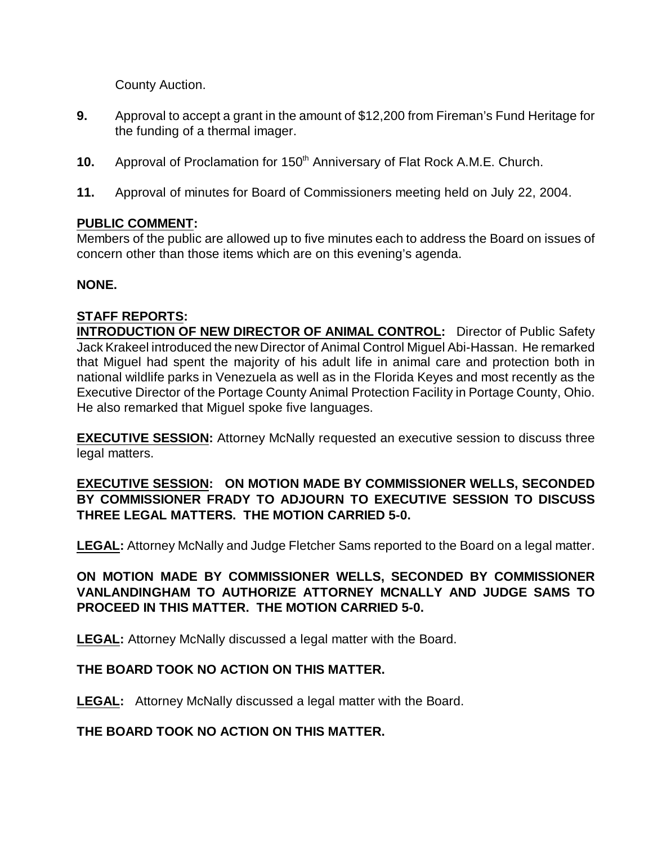County Auction.

- **9.** Approval to accept a grant in the amount of \$12,200 from Fireman's Fund Heritage for the funding of a thermal imager.
- **10.** Approval of Proclamation for 150<sup>th</sup> Anniversary of Flat Rock A.M.E. Church.
- **11.** Approval of minutes for Board of Commissioners meeting held on July 22, 2004.

#### **PUBLIC COMMENT:**

Members of the public are allowed up to five minutes each to address the Board on issues of concern other than those items which are on this evening's agenda.

#### **NONE.**

# **STAFF REPORTS:**

**INTRODUCTION OF NEW DIRECTOR OF ANIMAL CONTROL:** Director of Public Safety Jack Krakeel introduced the new Director of Animal Control Miguel Abi-Hassan. He remarked that Miguel had spent the majority of his adult life in animal care and protection both in national wildlife parks in Venezuela as well as in the Florida Keyes and most recently as the Executive Director of the Portage County Animal Protection Facility in Portage County, Ohio. He also remarked that Miguel spoke five languages.

**EXECUTIVE SESSION:** Attorney McNally requested an executive session to discuss three legal matters.

## **EXECUTIVE SESSION: ON MOTION MADE BY COMMISSIONER WELLS, SECONDED BY COMMISSIONER FRADY TO ADJOURN TO EXECUTIVE SESSION TO DISCUSS THREE LEGAL MATTERS. THE MOTION CARRIED 5-0.**

**LEGAL:** Attorney McNally and Judge Fletcher Sams reported to the Board on a legal matter.

## **ON MOTION MADE BY COMMISSIONER WELLS, SECONDED BY COMMISSIONER VANLANDINGHAM TO AUTHORIZE ATTORNEY MCNALLY AND JUDGE SAMS TO PROCEED IN THIS MATTER. THE MOTION CARRIED 5-0.**

**LEGAL:** Attorney McNally discussed a legal matter with the Board.

## **THE BOARD TOOK NO ACTION ON THIS MATTER.**

**LEGAL:** Attorney McNally discussed a legal matter with the Board.

## **THE BOARD TOOK NO ACTION ON THIS MATTER.**